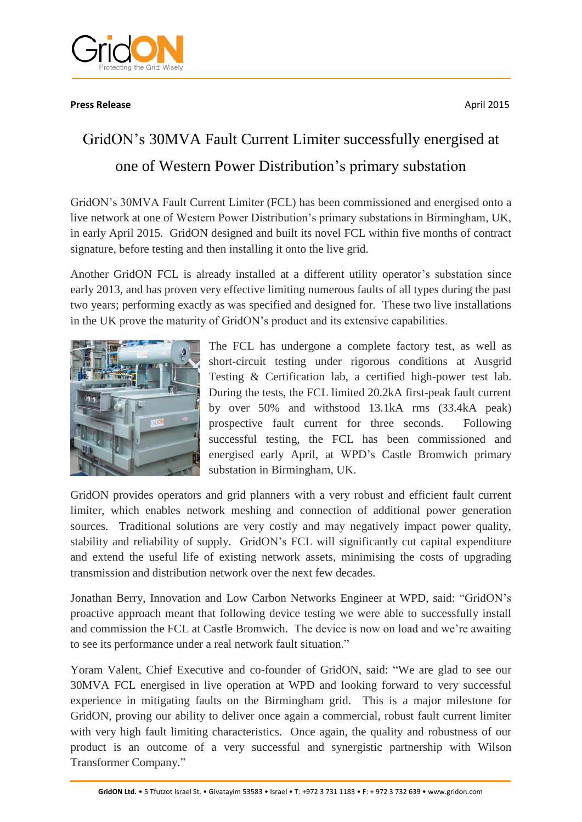

## **Press Release** April 2015

## GridON's 30MVA Fault Current Limiter successfully energised at one of Western Power Distribution's primary substation

GridON's 30MVA Fault Current Limiter (FCL) has been commissioned and energised onto a live network at one of Western Power Distribution's primary substations in Birmingham, UK, in early April 2015. GridON designed and built its novel FCL within five months of contract signature, before testing and then installing it onto the live grid.

Another GridON FCL is already installed at a different utility operator's substation since early 2013, and has proven very effective limiting numerous faults of all types during the past two years; performing exactly as was specified and designed for. These two live installations in the UK prove the maturity of GridON's product and its extensive capabilities.



The FCL has undergone a complete factory test, as well as short-circuit testing under rigorous conditions at Ausgrid Testing & Certification lab, a certified high-power test lab. During the tests, the FCL limited 20.2kA first-peak fault current by over 50% and withstood 13.1kA rms (33.4kA peak) prospective fault current for three seconds. Following successful testing, the FCL has been commissioned and energised early April, at WPD's Castle Bromwich primary substation in Birmingham, UK.

GridON provides operators and grid planners with a very robust and efficient fault current limiter, which enables network meshing and connection of additional power generation sources. Traditional solutions are very costly and may negatively impact power quality, stability and reliability of supply. GridON's FCL will significantly cut capital expenditure and extend the useful life of existing network assets, minimising the costs of upgrading transmission and distribution network over the next few decades.

Jonathan Berry, Innovation and Low Carbon Networks Engineer at WPD, said: "GridON's proactive approach meant that following device testing we were able to successfully install and commission the FCL at Castle Bromwich. The device is now on load and we're awaiting to see its performance under a real network fault situation."

Yoram Valent, Chief Executive and co-founder of GridON, said: "We are glad to see our 30MVA FCL energised in live operation at WPD and looking forward to very successful experience in mitigating faults on the Birmingham grid. This is a major milestone for GridON, proving our ability to deliver once again a commercial, robust fault current limiter with very high fault limiting characteristics. Once again, the quality and robustness of our product is an outcome of a very successful and synergistic partnership with Wilson Transformer Company."